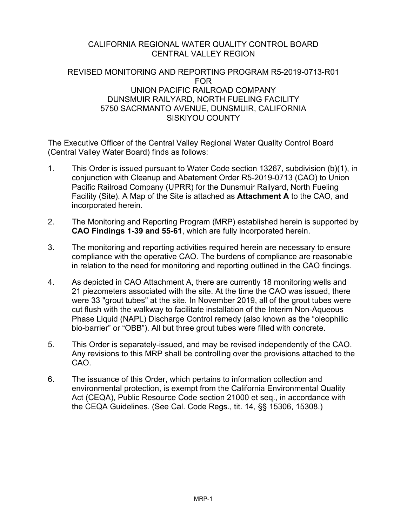### CALIFORNIA REGIONAL WATER QUALITY CONTROL BOARD CENTRAL VALLEY REGION

### REVISED MONITORING AND REPORTING PROGRAM R5-2019-0713-R01 FOR UNION PACIFIC RAILROAD COMPANY DUNSMUIR RAILYARD, NORTH FUELING FACILITY 5750 SACRMANTO AVENUE, DUNSMUIR, CALIFORNIA SISKIYOU COUNTY

The Executive Officer of the Central Valley Regional Water Quality Control Board (Central Valley Water Board) finds as follows:

- 1. This Order is issued pursuant to Water Code section 13267, subdivision (b)(1), in conjunction with Cleanup and Abatement Order R5-2019-0713 (CAO) to Union Pacific Railroad Company (UPRR) for the Dunsmuir Railyard, North Fueling Facility (Site). A Map of the Site is attached as **Attachment A** to the CAO, and incorporated herein.
- 2. The Monitoring and Reporting Program (MRP) established herein is supported by **CAO Findings 1-39 and 55-61**, which are fully incorporated herein.
- 3. The monitoring and reporting activities required herein are necessary to ensure compliance with the operative CAO. The burdens of compliance are reasonable in relation to the need for monitoring and reporting outlined in the CAO findings.
- 4. As depicted in CAO Attachment A, there are currently 18 monitoring wells and 21 piezometers associated with the site. At the time the CAO was issued, there were 33 "grout tubes" at the site. In November 2019, all of the grout tubes were cut flush with the walkway to facilitate installation of the Interim Non-Aqueous Phase Liquid (NAPL) Discharge Control remedy (also known as the "oleophilic bio-barrier" or "OBB"). All but three grout tubes were filled with concrete.
- 5. This Order is separately-issued, and may be revised independently of the CAO. Any revisions to this MRP shall be controlling over the provisions attached to the CAO.
- 6. The issuance of this Order, which pertains to information collection and environmental protection, is exempt from the California Environmental Quality Act (CEQA), Public Resource Code section 21000 et seq., in accordance with the CEQA Guidelines. (See Cal. Code Regs., tit. 14, §§ 15306, 15308.)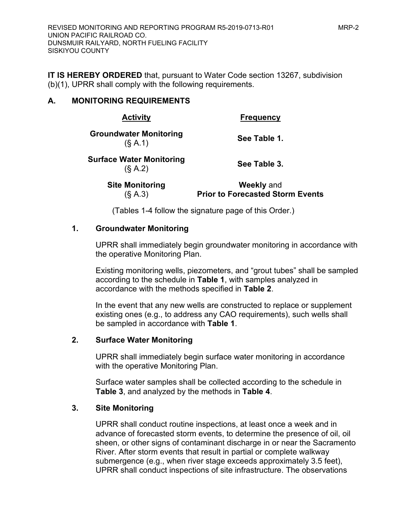**IT IS HEREBY ORDERED** that, pursuant to Water Code section 13267, subdivision (b)(1), UPRR shall comply with the following requirements.

## **A. MONITORING REQUIREMENTS**

| <b>Activity</b>                            | <b>Frequency</b>                                             |  |
|--------------------------------------------|--------------------------------------------------------------|--|
| <b>Groundwater Monitoring</b><br>(S A.1)   | See Table 1.                                                 |  |
| <b>Surface Water Monitoring</b><br>(S A.2) | See Table 3.                                                 |  |
| <b>Site Monitoring</b><br>(S A.3)          | <b>Weekly and</b><br><b>Prior to Forecasted Storm Events</b> |  |

(Tables 1-4 follow the signature page of this Order.)

## **1. Groundwater Monitoring**

UPRR shall immediately begin groundwater monitoring in accordance with the operative Monitoring Plan.

Existing monitoring wells, piezometers, and "grout tubes" shall be sampled according to the schedule in **Table 1**, with samples analyzed in accordance with the methods specified in **Table 2**.

In the event that any new wells are constructed to replace or supplement existing ones (e.g., to address any CAO requirements), such wells shall be sampled in accordance with **Table 1**.

## **2. Surface Water Monitoring**

UPRR shall immediately begin surface water monitoring in accordance with the operative Monitoring Plan.

Surface water samples shall be collected according to the schedule in **Table 3**, and analyzed by the methods in **Table 4**.

### **3. Site Monitoring**

UPRR shall conduct routine inspections, at least once a week and in advance of forecasted storm events, to determine the presence of oil, oil sheen, or other signs of contaminant discharge in or near the Sacramento River. After storm events that result in partial or complete walkway submergence (e.g., when river stage exceeds approximately 3.5 feet), UPRR shall conduct inspections of site infrastructure. The observations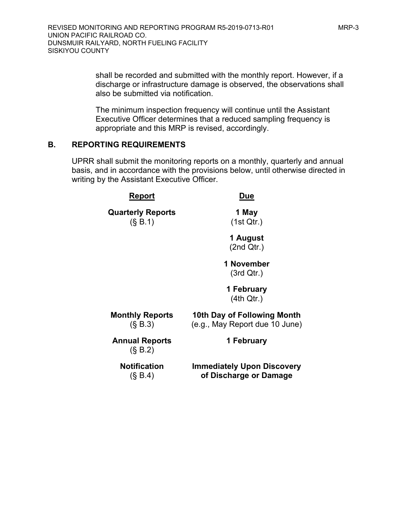shall be recorded and submitted with the monthly report. However, if a discharge or infrastructure damage is observed, the observations shall also be submitted via notification.

The minimum inspection frequency will continue until the Assistant Executive Officer determines that a reduced sampling frequency is appropriate and this MRP is revised, accordingly.

### **B. REPORTING REQUIREMENTS**

UPRR shall submit the monitoring reports on a monthly, quarterly and annual basis, and in accordance with the provisions below, until otherwise directed in writing by the Assistant Executive Officer.

| Report                               | Due                                                           |  |  |
|--------------------------------------|---------------------------------------------------------------|--|--|
| <b>Quarterly Reports</b><br>(S, B.1) | 1 May<br>(1st Qtr.)                                           |  |  |
|                                      | 1 August<br>(2nd Qtr.)                                        |  |  |
|                                      | 1 November<br>(3rd Qtr.)                                      |  |  |
|                                      | 1 February<br>(4th Qtr.)                                      |  |  |
| <b>Monthly Reports</b><br>(S, B.3)   | 10th Day of Following Month<br>(e.g., May Report due 10 June) |  |  |
| <b>Annual Reports</b><br>(S, B.2)    | 1 February                                                    |  |  |
| <b>Notification</b><br>(S, B.4)      | <b>Immediately Upon Discovery</b><br>of Discharge or Damage   |  |  |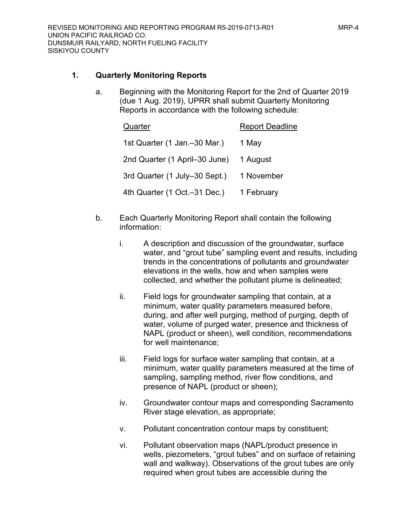### **1. Quarterly Monitoring Reports**

a. Beginning with the Monitoring Report for the 2nd of Quarter 2019 (due 1 Aug. 2019), UPRR shall submit Quarterly Monitoring Reports in accordance with the following schedule:

| Quarter                       | <b>Report Deadline</b> |
|-------------------------------|------------------------|
| 1st Quarter (1 Jan.–30 Mar.)  | 1 May                  |
| 2nd Quarter (1 April-30 June) | 1 August               |
| 3rd Quarter (1 July-30 Sept.) | 1 November             |
| 4th Quarter (1 Oct.-31 Dec.)  | 1 February             |

- b. Each Quarterly Monitoring Report shall contain the following information:
	- i. A description and discussion of the groundwater, surface water, and "grout tube" sampling event and results, including trends in the concentrations of pollutants and groundwater elevations in the wells, how and when samples were collected, and whether the pollutant plume is delineated;
	- ii. Field logs for groundwater sampling that contain, at a minimum, water quality parameters measured before, during, and after well purging, method of purging, depth of water, volume of purged water, presence and thickness of NAPL (product or sheen), well condition, recommendations for well maintenance;
	- iii. Field logs for surface water sampling that contain, at a minimum, water quality parameters measured at the time of sampling, sampling method, river flow conditions, and presence of NAPL (product or sheen);
	- iv. Groundwater contour maps and corresponding Sacramento River stage elevation, as appropriate;
	- v. Pollutant concentration contour maps by constituent;
	- vi. Pollutant observation maps (NAPL/product presence in wells, piezometers, "grout tubes" and on surface of retaining wall and walkway). Observations of the grout tubes are only required when grout tubes are accessible during the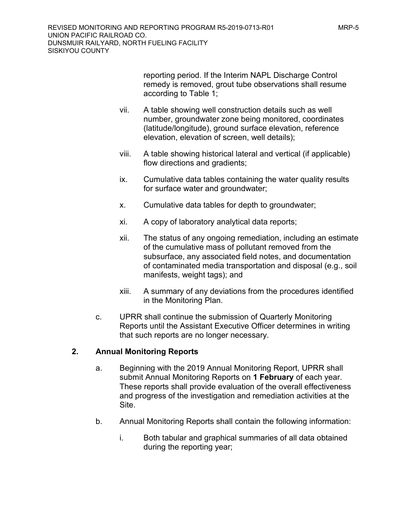reporting period. If the Interim NAPL Discharge Control remedy is removed, grout tube observations shall resume according to Table 1;

- vii. A table showing well construction details such as well number, groundwater zone being monitored, coordinates (latitude/longitude), ground surface elevation, reference elevation, elevation of screen, well details);
- viii. A table showing historical lateral and vertical (if applicable) flow directions and gradients;
- ix. Cumulative data tables containing the water quality results for surface water and groundwater;
- x. Cumulative data tables for depth to groundwater;
- xi. A copy of laboratory analytical data reports;
- xii. The status of any ongoing remediation, including an estimate of the cumulative mass of pollutant removed from the subsurface, any associated field notes, and documentation of contaminated media transportation and disposal (e.g., soil manifests, weight tags); and
- xiii. A summary of any deviations from the procedures identified in the Monitoring Plan.
- c. UPRR shall continue the submission of Quarterly Monitoring Reports until the Assistant Executive Officer determines in writing that such reports are no longer necessary.

### **2. Annual Monitoring Reports**

- a. Beginning with the 2019 Annual Monitoring Report, UPRR shall submit Annual Monitoring Reports on **1 February** of each year. These reports shall provide evaluation of the overall effectiveness and progress of the investigation and remediation activities at the Site.
- b. Annual Monitoring Reports shall contain the following information:
	- i. Both tabular and graphical summaries of all data obtained during the reporting year;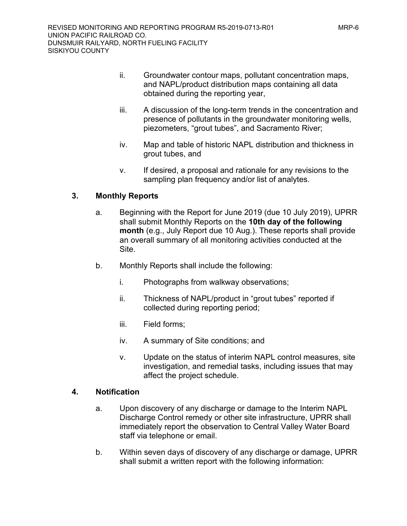- ii. Groundwater contour maps, pollutant concentration maps, and NAPL/product distribution maps containing all data obtained during the reporting year,
- iii. A discussion of the long-term trends in the concentration and presence of pollutants in the groundwater monitoring wells, piezometers, "grout tubes", and Sacramento River;
- iv. Map and table of historic NAPL distribution and thickness in grout tubes, and
- v. If desired, a proposal and rationale for any revisions to the sampling plan frequency and/or list of analytes.

# **3. Monthly Reports**

- a. Beginning with the Report for June 2019 (due 10 July 2019), UPRR shall submit Monthly Reports on the **10th day of the following month** (e.g., July Report due 10 Aug.). These reports shall provide an overall summary of all monitoring activities conducted at the Site.
- b. Monthly Reports shall include the following:
	- i. Photographs from walkway observations;
	- ii. Thickness of NAPL/product in "grout tubes" reported if collected during reporting period;
	- iii. Field forms;
	- iv. A summary of Site conditions; and
	- v. Update on the status of interim NAPL control measures, site investigation, and remedial tasks, including issues that may affect the project schedule.

### **4. Notification**

- a. Upon discovery of any discharge or damage to the Interim NAPL Discharge Control remedy or other site infrastructure, UPRR shall immediately report the observation to Central Valley Water Board staff via telephone or email.
- b. Within seven days of discovery of any discharge or damage, UPRR shall submit a written report with the following information: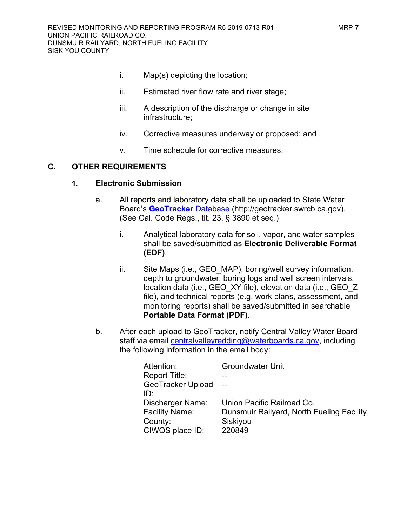- 
- i. Map(s) depicting the location;
- ii. Estimated river flow rate and river stage;
- iii. A description of the discharge or change in site infrastructure;
- iv. Corrective measures underway or proposed; and
- v. Time schedule for corrective measures.

### **C. OTHER REQUIREMENTS**

#### **1. Electronic Submission**

- a. All reports and laboratory data shall be uploaded to State Water Board's **[GeoTracker](http://geotracker.swrcb.ca.gov/)** Database (http://geotracker.swrcb.ca.gov). (See Cal. Code Regs., tit. 23, § 3890 et seq.)
	- i. Analytical laboratory data for soil, vapor, and water samples shall be saved/submitted as **Electronic Deliverable Format (EDF)**.
	- ii. Site Maps (i.e., GEO MAP), boring/well survey information, depth to groundwater, boring logs and well screen intervals, location data (i.e., GEO\_XY file), elevation data (i.e., GEO\_Z file), and technical reports (e.g. work plans, assessment, and monitoring reports) shall be saved/submitted in searchable **Portable Data Format (PDF)**.
- b. After each upload to GeoTracker, notify Central Valley Water Board staff via email [centralvalleyredding@waterboards.ca.gov](mailto:centralvalleyredding@waterboards.ca.gov), including the following information in the email body:

| Attention:              | <b>Groundwater Unit</b>                   |
|-------------------------|-------------------------------------------|
| <b>Report Title:</b>    |                                           |
| GeoTracker Upload       |                                           |
| ID.                     |                                           |
| <b>Discharger Name:</b> | Union Pacific Railroad Co.                |
| <b>Facility Name:</b>   | Dunsmuir Railyard, North Fueling Facility |
| County:                 | Siskiyou                                  |
| CIWQS place ID:         | 220849                                    |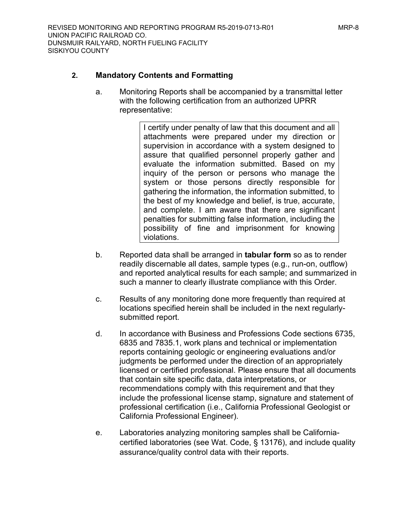### **2. Mandatory Contents and Formatting**

a. Monitoring Reports shall be accompanied by a transmittal letter with the following certification from an authorized UPRR representative:

> I certify under penalty of law that this document and all attachments were prepared under my direction or supervision in accordance with a system designed to assure that qualified personnel properly gather and evaluate the information submitted. Based on my inquiry of the person or persons who manage the system or those persons directly responsible for gathering the information, the information submitted, to the best of my knowledge and belief, is true, accurate, and complete. I am aware that there are significant penalties for submitting false information, including the possibility of fine and imprisonment for knowing violations.

- b. Reported data shall be arranged in **tabular form** so as to render readily discernable all dates, sample types (e.g., run-on, outflow) and reported analytical results for each sample; and summarized in such a manner to clearly illustrate compliance with this Order.
- c. Results of any monitoring done more frequently than required at locations specified herein shall be included in the next regularlysubmitted report.
- d. In accordance with Business and Professions Code sections 6735, 6835 and 7835.1, work plans and technical or implementation reports containing geologic or engineering evaluations and/or judgments be performed under the direction of an appropriately licensed or certified professional. Please ensure that all documents that contain site specific data, data interpretations, or recommendations comply with this requirement and that they include the professional license stamp, signature and statement of professional certification (i.e., California Professional Geologist or California Professional Engineer).
- e. Laboratories analyzing monitoring samples shall be Californiacertified laboratories (see Wat. Code, § 13176), and include quality assurance/quality control data with their reports.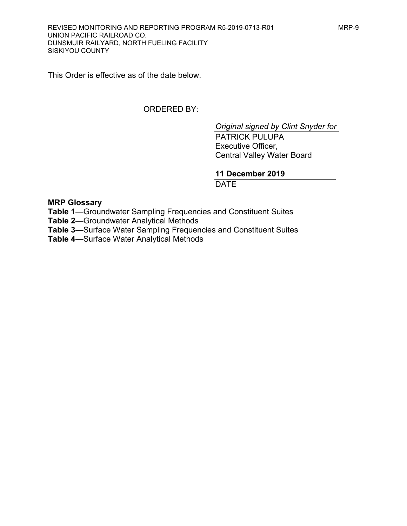This Order is effective as of the date below.

# ORDERED BY:

*Original signed by Clint Snyder for*

PATRICK PULUPA Executive Officer, Central Valley Water Board

## **11 December 2019**

**DATE** 

**MRP Glossary**

**Table 1**—Groundwater Sampling Frequencies and Constituent Suites

**Table 2**—Groundwater Analytical Methods

**Table 3**—Surface Water Sampling Frequencies and Constituent Suites

**Table 4**—Surface Water Analytical Methods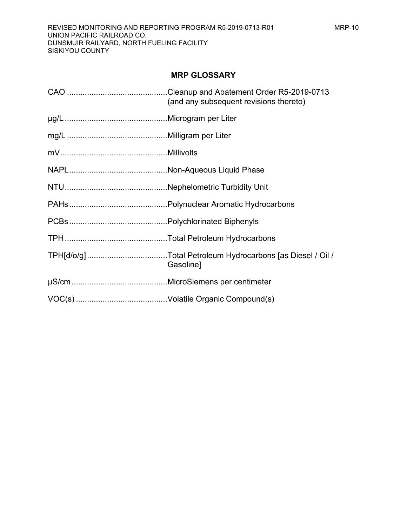### **MRP GLOSSARY**

| (and any subsequent revisions thereto) |
|----------------------------------------|
|                                        |
|                                        |
|                                        |
|                                        |
|                                        |
|                                        |
|                                        |
|                                        |
| Gasoline]                              |
|                                        |
|                                        |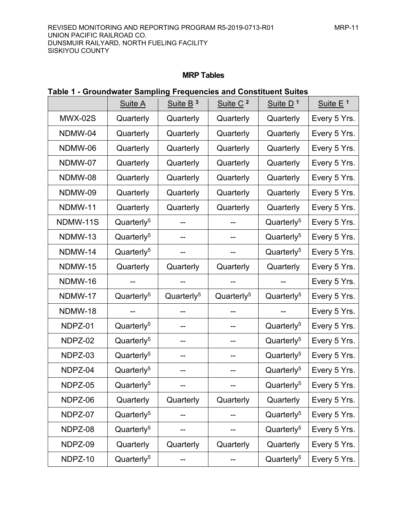### **MRP Tables**

|                | Suite A                | Suite B <sup>3</sup>   | Suite C <sup>2</sup>   | Suite D <sup>1</sup>   | Suite E <sup>1</sup> |
|----------------|------------------------|------------------------|------------------------|------------------------|----------------------|
| <b>MWX-02S</b> | Quarterly              | Quarterly              | Quarterly              | Quarterly              | Every 5 Yrs.         |
| NDMW-04        | Quarterly              | Quarterly              | Quarterly              | Quarterly              | Every 5 Yrs.         |
| NDMW-06        | Quarterly              | Quarterly              | Quarterly              | Quarterly              | Every 5 Yrs.         |
| NDMW-07        | Quarterly              | Quarterly              | Quarterly              | Quarterly              | Every 5 Yrs.         |
| NDMW-08        | Quarterly              | Quarterly              | Quarterly              | Quarterly              | Every 5 Yrs.         |
| NDMW-09        | Quarterly              | Quarterly              | Quarterly              | Quarterly              | Every 5 Yrs.         |
| NDMW-11        | Quarterly              | Quarterly              | Quarterly              | Quarterly              | Every 5 Yrs.         |
| NDMW-11S       | Quarterly <sup>5</sup> |                        |                        | Quarterly <sup>5</sup> | Every 5 Yrs.         |
| NDMW-13        | Quarterly <sup>5</sup> |                        |                        | Quarterly <sup>5</sup> | Every 5 Yrs.         |
| NDMW-14        | Quarterly <sup>5</sup> |                        |                        | Quarterly <sup>5</sup> | Every 5 Yrs.         |
| NDMW-15        | Quarterly              | Quarterly              | Quarterly              | Quarterly              | Every 5 Yrs.         |
| NDMW-16        |                        |                        |                        |                        | Every 5 Yrs.         |
| NDMW-17        | Quarterly <sup>5</sup> | Quarterly <sup>5</sup> | Quarterly <sup>5</sup> | Quarterly <sup>5</sup> | Every 5 Yrs.         |
| NDMW-18        |                        |                        |                        |                        | Every 5 Yrs.         |
| NDPZ-01        | Quarterly <sup>5</sup> |                        |                        | Quarterly <sup>5</sup> | Every 5 Yrs.         |
| NDPZ-02        | Quarterly <sup>5</sup> |                        |                        | Quarterly <sup>5</sup> | Every 5 Yrs.         |
| NDPZ-03        | Quarterly <sup>5</sup> |                        |                        | Quarterly <sup>5</sup> | Every 5 Yrs.         |
| NDPZ-04        | Quarterly <sup>5</sup> |                        |                        | Quarterly <sup>5</sup> | Every 5 Yrs.         |
| NDPZ-05        | Quarterly <sup>5</sup> | --                     | --                     | Quarterly <sup>5</sup> | Every 5 Yrs.         |
| NDPZ-06        | Quarterly              | Quarterly              | Quarterly              | Quarterly              | Every 5 Yrs.         |
| NDPZ-07        | Quarterly <sup>5</sup> |                        |                        | Quarterly <sup>5</sup> | Every 5 Yrs.         |
| NDPZ-08        | Quarterly <sup>5</sup> |                        |                        | Quarterly <sup>5</sup> | Every 5 Yrs.         |
| NDPZ-09        | Quarterly              | Quarterly              | Quarterly              | Quarterly              | Every 5 Yrs.         |
| NDPZ-10        | Quarterly <sup>5</sup> |                        |                        | Quarterly <sup>5</sup> | Every 5 Yrs.         |

# **Table 1 - Groundwater Sampling Frequencies and Constituent Suites**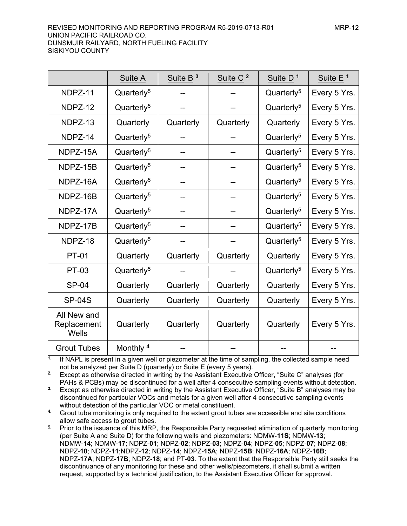UNION PACIFIC RAILROAD CO. DUNSMUIR RAILYARD, NORTH FUELING FACILITY SISKIYOU COUNTY

|                                     | Suite A                | Suite B <sup>3</sup> | Suite C <sup>2</sup> | Suite $D1$             | Suite E <sup>1</sup> |
|-------------------------------------|------------------------|----------------------|----------------------|------------------------|----------------------|
| NDPZ-11                             | Quarterly <sup>5</sup> | --                   |                      | Quarterly <sup>5</sup> | Every 5 Yrs.         |
| NDPZ-12                             | Quarterly <sup>5</sup> |                      |                      | Quarterly <sup>5</sup> | Every 5 Yrs.         |
| NDPZ-13                             | Quarterly              | Quarterly            | Quarterly            | Quarterly              | Every 5 Yrs.         |
| NDPZ-14                             | Quarterly <sup>5</sup> | --                   |                      | Quarterly <sup>5</sup> | Every 5 Yrs.         |
| NDPZ-15A                            | Quarterly <sup>5</sup> |                      | --                   | Quarterly <sup>5</sup> | Every 5 Yrs.         |
| NDPZ-15B                            | Quarterly <sup>5</sup> | --                   | --                   | Quarterly <sup>5</sup> | Every 5 Yrs.         |
| NDPZ-16A                            | Quarterly <sup>5</sup> |                      | --                   | Quarterly <sup>5</sup> | Every 5 Yrs.         |
| NDPZ-16B                            | Quarterly <sup>5</sup> | --                   | --                   | Quarterly <sup>5</sup> | Every 5 Yrs.         |
| NDPZ-17A                            | Quarterly <sup>5</sup> | --                   | --                   | Quarterly <sup>5</sup> | Every 5 Yrs.         |
| NDPZ-17B                            | Quarterly <sup>5</sup> |                      |                      | Quarterly <sup>5</sup> | Every 5 Yrs.         |
| NDPZ-18                             | Quarterly <sup>5</sup> |                      |                      | Quarterly <sup>5</sup> | Every 5 Yrs.         |
| <b>PT-01</b>                        | Quarterly              | Quarterly            | Quarterly            | Quarterly              | Every 5 Yrs.         |
| <b>PT-03</b>                        | Quarterly <sup>5</sup> |                      |                      | Quarterly <sup>5</sup> | Every 5 Yrs.         |
| <b>SP-04</b>                        | Quarterly              | Quarterly            | Quarterly            | Quarterly              | Every 5 Yrs.         |
| <b>SP-04S</b>                       | Quarterly              | Quarterly            | Quarterly            | Quarterly              | Every 5 Yrs.         |
| All New and<br>Replacement<br>Wells | Quarterly              | Quarterly            | Quarterly            | Quarterly              | Every 5 Yrs.         |
| <b>Grout Tubes</b>                  | Monthly <sup>4</sup>   |                      |                      |                        |                      |

**1.** If NAPL is present in a given well or piezometer at the time of sampling, the collected sample need not be analyzed per Suite D (quarterly) or Suite E (every 5 years).

**2.** Except as otherwise directed in writing by the Assistant Executive Officer, "Suite C" analyses (for PAHs & PCBs) may be discontinued for a well after 4 consecutive sampling events without detection.

**3.** Except as otherwise directed in writing by the Assistant Executive Officer, "Suite B" analyses may be discontinued for particular VOCs and metals for a given well after 4 consecutive sampling events without detection of the particular VOC or metal constituent.

**4.** Grout tube monitoring is only required to the extent grout tubes are accessible and site conditions allow safe access to grout tubes.

<sup>5.</sup> Prior to the issuance of this MRP, the Responsible Party requested elimination of quarterly monitoring (per Suite A and Suite D) for the following wells and piezometers: NDMW-**11S**; NDMW-**13**; NDMW-**14**; NDMW-**17**; NDPZ-**01**; NDPZ-**02**; NDPZ-**03**; NDPZ-**04**; NDPZ-**05**; NDPZ-**07**; NDPZ-**08**; NDPZ-**10**; NDPZ-**11**;NDPZ-**12**; NDPZ-**14**; NDPZ-**15A**; NDPZ-**15B**; NDPZ-**16A**; NDPZ-**16B**; NDPZ-**17A**; NDPZ-**17B**; NDPZ-**18**; and PT-**03**. To the extent that the Responsible Party still seeks the discontinuance of any monitoring for these and other wells/piezometers, it shall submit a written request, supported by a technical justification, to the Assistant Executive Officer for approval.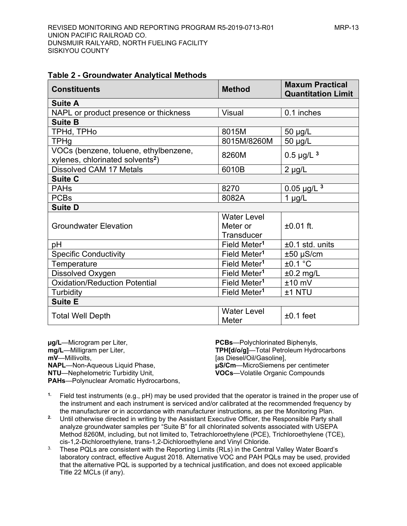#### **Table 2 - Groundwater Analytical Methods**

| <b>Constituents</b>                                                                   | <b>Method</b>                      | <b>Maxum Practical</b><br><b>Quantitation Limit</b> |
|---------------------------------------------------------------------------------------|------------------------------------|-----------------------------------------------------|
| <b>Suite A</b>                                                                        |                                    |                                                     |
| NAPL or product presence or thickness                                                 | <b>Visual</b>                      | 0.1 inches                                          |
| <b>Suite B</b>                                                                        |                                    |                                                     |
| TPHd, TPHo                                                                            | 8015M                              | 50 µg/L                                             |
| <b>TPHg</b>                                                                           | 8015M/8260M                        | 50 µg/L                                             |
| VOCs (benzene, toluene, ethylbenzene,<br>xylenes, chlorinated solvents <sup>2</sup> ) | 8260M                              | $0.5 \mu g/L^3$                                     |
| <b>Dissolved CAM 17 Metals</b>                                                        | 6010B                              | $2 \mu g/L$                                         |
| <b>Suite C</b>                                                                        |                                    |                                                     |
| <b>PAHs</b>                                                                           | 8270                               | $0.05 \mu g/L^3$                                    |
| <b>PCBs</b>                                                                           | 8082A                              | $1 \mu g/L$                                         |
| <b>Suite D</b>                                                                        |                                    |                                                     |
|                                                                                       | <b>Water Level</b>                 |                                                     |
| <b>Groundwater Elevation</b>                                                          | Meter or                           | $±0.01$ ft.                                         |
|                                                                                       | Transducer                         |                                                     |
| рH                                                                                    | Field Meter <sup>1</sup>           | $±0.1$ std. units                                   |
| <b>Specific Conductivity</b>                                                          | Field Meter <sup>1</sup>           | $±50$ µS/cm                                         |
| Temperature                                                                           | Field Meter <sup>1</sup>           | ±0.1 °C                                             |
| Dissolved Oxygen                                                                      | Field Meter <sup>1</sup>           | $±0.2$ mg/L                                         |
| Oxidation/Reduction Potential                                                         | Field Meter <sup>1</sup>           | $±10$ mV                                            |
| Turbidity                                                                             | Field Meter <sup>1</sup>           | ±1 NTU                                              |
| <b>Suite E</b>                                                                        |                                    |                                                     |
| <b>Total Well Depth</b>                                                               | <b>Water Level</b><br><b>Meter</b> | $±0.1$ feet                                         |

**µg/L**—Microgram per Liter, **mg/L**—Milligram per Liter, **mV**—Millivolts, **NAPL**—Non-Aqueous Liquid Phase, **NTU**—Nephelometric Turbidity Unit, **PAHs**—Polynuclear Aromatic Hydrocarbons,

**PCBs**—Polychlorinated Biphenyls, **TPH[d/o/g]**—Total Petroleum Hydrocarbons [as Diesel/Oil/Gasoline], **µS/Cm**—MicroSiemens per centimeter **VOCs**—Volatile Organic Compounds

- **1.** Field test instruments (e.g., pH) may be used provided that the operator is trained in the proper use of the instrument and each instrument is serviced and/or calibrated at the recommended frequency by the manufacturer or in accordance with manufacturer instructions, as per the Monitoring Plan.
- **2.** Until otherwise directed in writing by the Assistant Executive Officer, the Responsible Party shall analyze groundwater samples per "Suite B" for all chlorinated solvents associated with USEPA Method 8260M, including, but not limited to, Tetrachloroethylene (PCE), Trichloroethylene (TCE), cis-1,2-Dichloroethylene, trans-1,2-Dichloroethylene and Vinyl Chloride.
- <sup>3.</sup> These PQLs are consistent with the Reporting Limits (RLs) in the Central Valley Water Board's laboratory contract, effective August 2018. Alternative VOC and PAH PQLs may be used, provided that the alternative PQL is supported by a technical justification, and does not exceed applicable Title 22 MCLs (if any).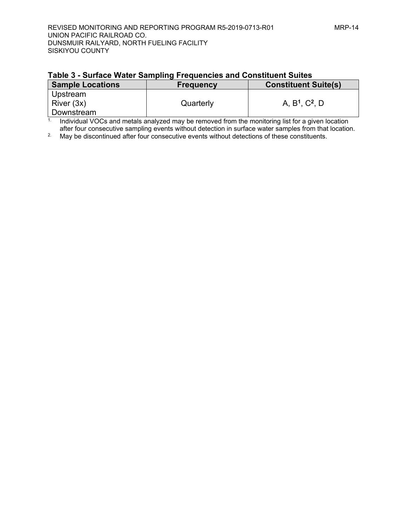## **Table 3 - Surface Water Sampling Frequencies and Constituent Suites**

| <b>Sample Locations</b> | <b>Frequency</b> | <b>Constituent Suite(s)</b> |
|-------------------------|------------------|-----------------------------|
| Upstream                |                  |                             |
| River (3x)              | Quarterly        | A, $B^1$ , $C^2$ , D        |
| Downstream              |                  |                             |

 $1$ . Individual VOCs and metals analyzed may be removed from the monitoring list for a given location after four consecutive sampling events without detection in surface water samples from that location.

<sup>2</sup>. May be discontinued after four consecutive events without detections of these constituents.